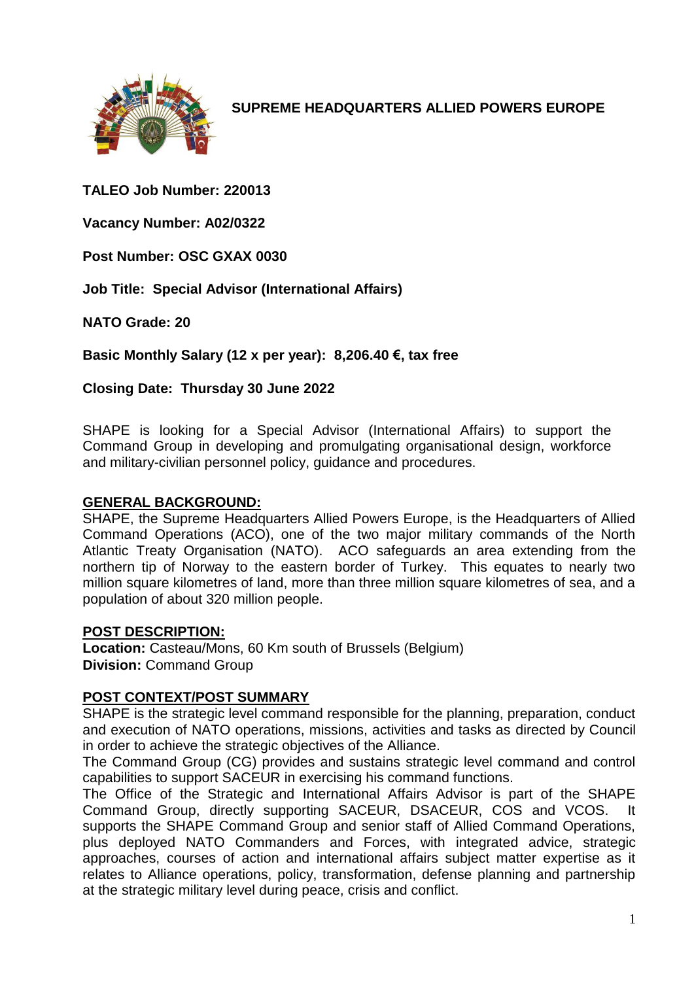

**SUPREME HEADQUARTERS ALLIED POWERS EUROPE**

## **TALEO Job Number: 220013**

**Vacancy Number: A02/0322**

**Post Number: OSC GXAX 0030**

**Job Title: Special Advisor (International Affairs)**

**NATO Grade: 20**

**Basic Monthly Salary (12 x per year): 8,206.40 €, tax free** 

**Closing Date: Thursday 30 June 2022**

SHAPE is looking for a Special Advisor (International Affairs) to support the Command Group in developing and promulgating organisational design, workforce and military-civilian personnel policy, guidance and procedures.

### **GENERAL BACKGROUND:**

SHAPE, the Supreme Headquarters Allied Powers Europe, is the Headquarters of Allied Command Operations (ACO), one of the two major military commands of the North Atlantic Treaty Organisation (NATO). ACO safeguards an area extending from the northern tip of Norway to the eastern border of Turkey. This equates to nearly two million square kilometres of land, more than three million square kilometres of sea, and a population of about 320 million people.

### **POST DESCRIPTION:**

**Location:** Casteau/Mons, 60 Km south of Brussels (Belgium) **Division:** Command Group

## **POST CONTEXT/POST SUMMARY**

SHAPE is the strategic level command responsible for the planning, preparation, conduct and execution of NATO operations, missions, activities and tasks as directed by Council in order to achieve the strategic objectives of the Alliance.

The Command Group (CG) provides and sustains strategic level command and control capabilities to support SACEUR in exercising his command functions.

The Office of the Strategic and International Affairs Advisor is part of the SHAPE Command Group, directly supporting SACEUR, DSACEUR, COS and VCOS. It supports the SHAPE Command Group and senior staff of Allied Command Operations, plus deployed NATO Commanders and Forces, with integrated advice, strategic approaches, courses of action and international affairs subject matter expertise as it relates to Alliance operations, policy, transformation, defense planning and partnership at the strategic military level during peace, crisis and conflict.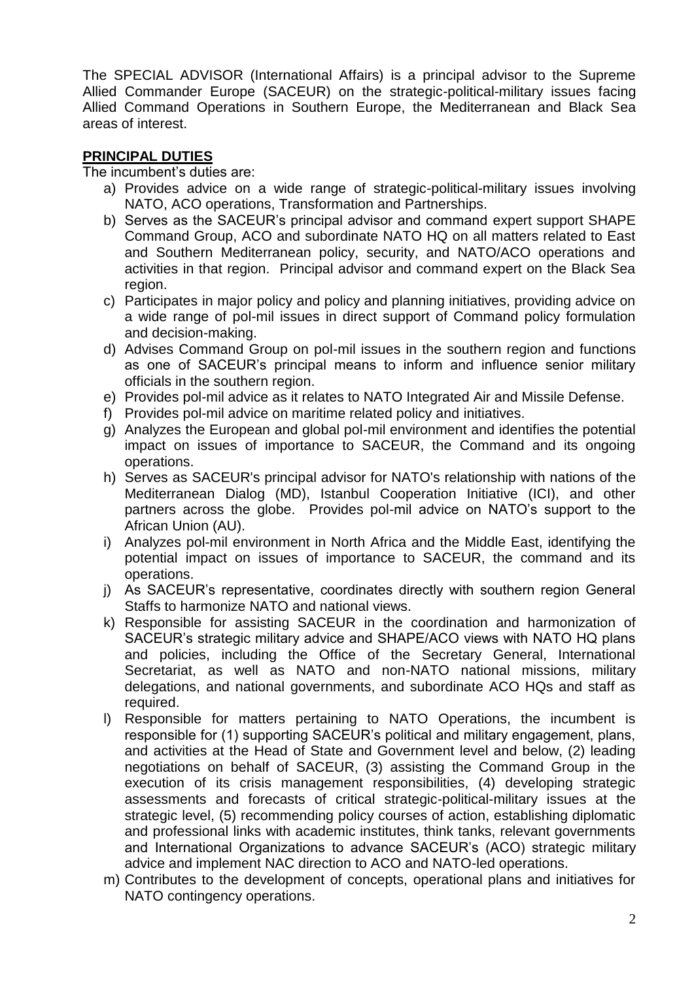The SPECIAL ADVISOR (International Affairs) is a principal advisor to the Supreme Allied Commander Europe (SACEUR) on the strategic-political-military issues facing Allied Command Operations in Southern Europe, the Mediterranean and Black Sea areas of interest.

## **PRINCIPAL DUTIES**

The incumbent's duties are:

- a) Provides advice on a wide range of strategic-political-military issues involving NATO, ACO operations, Transformation and Partnerships.
- b) Serves as the SACEUR's principal advisor and command expert support SHAPE Command Group, ACO and subordinate NATO HQ on all matters related to East and Southern Mediterranean policy, security, and NATO/ACO operations and activities in that region. Principal advisor and command expert on the Black Sea region.
- c) Participates in major policy and policy and planning initiatives, providing advice on a wide range of pol-mil issues in direct support of Command policy formulation and decision-making.
- d) Advises Command Group on pol-mil issues in the southern region and functions as one of SACEUR's principal means to inform and influence senior military officials in the southern region.
- e) Provides pol-mil advice as it relates to NATO Integrated Air and Missile Defense.
- f) Provides pol-mil advice on maritime related policy and initiatives.
- g) Analyzes the European and global pol-mil environment and identifies the potential impact on issues of importance to SACEUR, the Command and its ongoing operations.
- h) Serves as SACEUR's principal advisor for NATO's relationship with nations of the Mediterranean Dialog (MD), Istanbul Cooperation Initiative (ICI), and other partners across the globe. Provides pol-mil advice on NATO's support to the African Union (AU).
- i) Analyzes pol-mil environment in North Africa and the Middle East, identifying the potential impact on issues of importance to SACEUR, the command and its operations.
- j) As SACEUR's representative, coordinates directly with southern region General Staffs to harmonize NATO and national views.
- k) Responsible for assisting SACEUR in the coordination and harmonization of SACEUR's strategic military advice and SHAPE/ACO views with NATO HQ plans and policies, including the Office of the Secretary General, International Secretariat, as well as NATO and non-NATO national missions, military delegations, and national governments, and subordinate ACO HQs and staff as required.
- l) Responsible for matters pertaining to NATO Operations, the incumbent is responsible for (1) supporting SACEUR's political and military engagement, plans, and activities at the Head of State and Government level and below, (2) leading negotiations on behalf of SACEUR, (3) assisting the Command Group in the execution of its crisis management responsibilities, (4) developing strategic assessments and forecasts of critical strategic-political-military issues at the strategic level, (5) recommending policy courses of action, establishing diplomatic and professional links with academic institutes, think tanks, relevant governments and International Organizations to advance SACEUR's (ACO) strategic military advice and implement NAC direction to ACO and NATO-led operations.
- m) Contributes to the development of concepts, operational plans and initiatives for NATO contingency operations.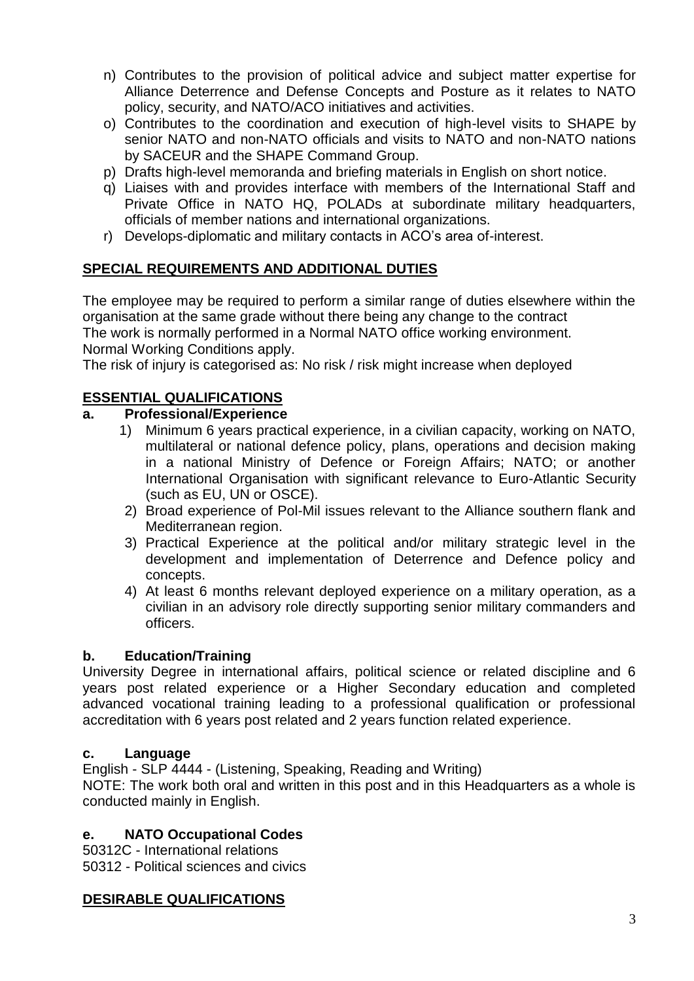- n) Contributes to the provision of political advice and subject matter expertise for Alliance Deterrence and Defense Concepts and Posture as it relates to NATO policy, security, and NATO/ACO initiatives and activities.
- o) Contributes to the coordination and execution of high-level visits to SHAPE by senior NATO and non-NATO officials and visits to NATO and non-NATO nations by SACEUR and the SHAPE Command Group.
- p) Drafts high-level memoranda and briefing materials in English on short notice.
- q) Liaises with and provides interface with members of the International Staff and Private Office in NATO HQ, POLADs at subordinate military headquarters, officials of member nations and international organizations.
- r) Develops-diplomatic and military contacts in ACO's area of-interest.

## **SPECIAL REQUIREMENTS AND ADDITIONAL DUTIES**

The employee may be required to perform a similar range of duties elsewhere within the organisation at the same grade without there being any change to the contract The work is normally performed in a Normal NATO office working environment. Normal Working Conditions apply.

The risk of injury is categorised as: No risk / risk might increase when deployed

## **ESSENTIAL QUALIFICATIONS**

### **a. Professional/Experience**

- 1) Minimum 6 years practical experience, in a civilian capacity, working on NATO, multilateral or national defence policy, plans, operations and decision making in a national Ministry of Defence or Foreign Affairs; NATO; or another International Organisation with significant relevance to Euro-Atlantic Security (such as EU, UN or OSCE).
- 2) Broad experience of Pol-Mil issues relevant to the Alliance southern flank and Mediterranean region.
- 3) Practical Experience at the political and/or military strategic level in the development and implementation of Deterrence and Defence policy and concepts.
- 4) At least 6 months relevant deployed experience on a military operation, as a civilian in an advisory role directly supporting senior military commanders and officers.

### **b. Education/Training**

University Degree in international affairs, political science or related discipline and 6 years post related experience or a Higher Secondary education and completed advanced vocational training leading to a professional qualification or professional accreditation with 6 years post related and 2 years function related experience.

### **c. Language**

English - SLP 4444 - (Listening, Speaking, Reading and Writing)

NOTE: The work both oral and written in this post and in this Headquarters as a whole is conducted mainly in English.

## **e. NATO Occupational Codes**

50312C - International relations 50312 - Political sciences and civics

## **DESIRABLE QUALIFICATIONS**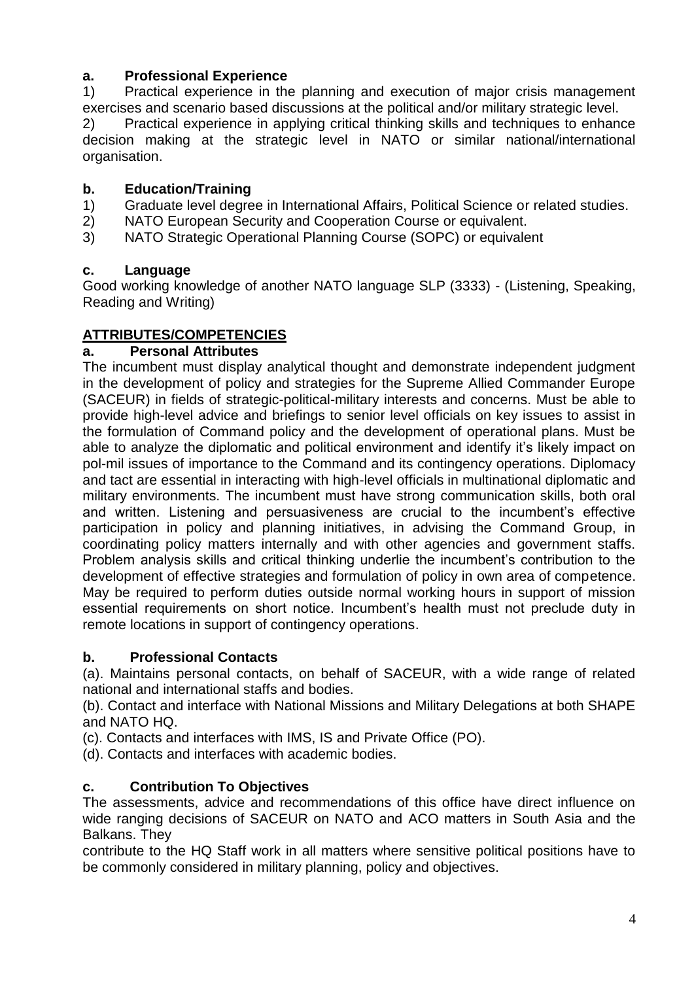# **a. Professional Experience**

1) Practical experience in the planning and execution of major crisis management exercises and scenario based discussions at the political and/or military strategic level.

2) Practical experience in applying critical thinking skills and techniques to enhance decision making at the strategic level in NATO or similar national/international organisation.

## **b. Education/Training**

- 1) Graduate level degree in International Affairs, Political Science or related studies.
- 2) NATO European Security and Cooperation Course or equivalent.
- 3) NATO Strategic Operational Planning Course (SOPC) or equivalent

## **c. Language**

Good working knowledge of another NATO language SLP (3333) - (Listening, Speaking, Reading and Writing)

# **ATTRIBUTES/COMPETENCIES**

## **a. Personal Attributes**

The incumbent must display analytical thought and demonstrate independent judgment in the development of policy and strategies for the Supreme Allied Commander Europe (SACEUR) in fields of strategic-political-military interests and concerns. Must be able to provide high-level advice and briefings to senior level officials on key issues to assist in the formulation of Command policy and the development of operational plans. Must be able to analyze the diplomatic and political environment and identify it's likely impact on pol-mil issues of importance to the Command and its contingency operations. Diplomacy and tact are essential in interacting with high-level officials in multinational diplomatic and military environments. The incumbent must have strong communication skills, both oral and written. Listening and persuasiveness are crucial to the incumbent's effective participation in policy and planning initiatives, in advising the Command Group, in coordinating policy matters internally and with other agencies and government staffs. Problem analysis skills and critical thinking underlie the incumbent's contribution to the development of effective strategies and formulation of policy in own area of competence. May be required to perform duties outside normal working hours in support of mission essential requirements on short notice. Incumbent's health must not preclude duty in remote locations in support of contingency operations.

## **b. Professional Contacts**

(a). Maintains personal contacts, on behalf of SACEUR, with a wide range of related national and international staffs and bodies.

(b). Contact and interface with National Missions and Military Delegations at both SHAPE and NATO HQ.

(c). Contacts and interfaces with IMS, IS and Private Office (PO).

(d). Contacts and interfaces with academic bodies.

# **c. Contribution To Objectives**

The assessments, advice and recommendations of this office have direct influence on wide ranging decisions of SACEUR on NATO and ACO matters in South Asia and the Balkans. They

contribute to the HQ Staff work in all matters where sensitive political positions have to be commonly considered in military planning, policy and objectives.